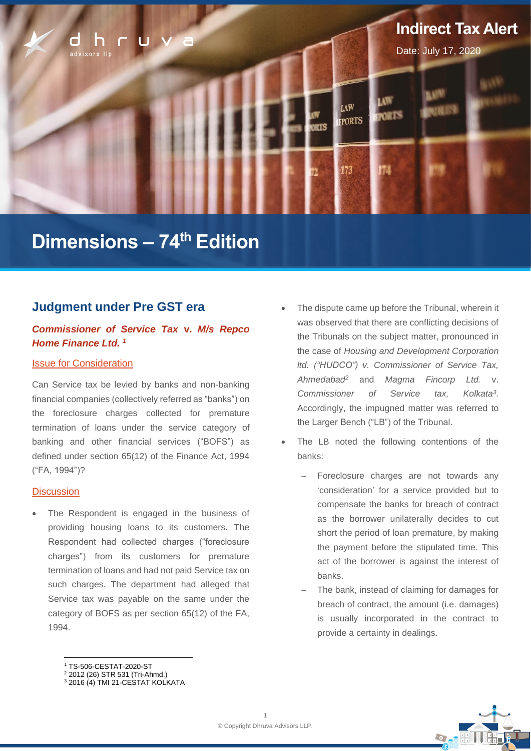

# **Dimensions – 74 th Edition**

# **Judgment under Pre GST era**

## *Commissioner of Service Tax* **v.** *M/s Repco Home Finance Ltd. 1*

## **Issue for Consideration**

Can Service tax be levied by banks and non-banking financial companies (collectively referred as "banks") on the foreclosure charges collected for premature termination of loans under the service category of banking and other financial services ("BOFS") as defined under section 65(12) of the Finance Act, 1994 ("FA, 1994")?

#### **Discussion**

The Respondent is engaged in the business of providing housing loans to its customers. The Respondent had collected charges ("foreclosure charges") from its customers for premature termination of loans and had not paid Service tax on such charges. The department had alleged that Service tax was payable on the same under the category of BOFS as per section 65(12) of the FA, 1994.

- The dispute came up before the Tribunal, wherein it was observed that there are conflicting decisions of the Tribunals on the subject matter, pronounced in the case of *Housing and Development Corporation ltd. ("HUDCO") v. Commissioner of Service Tax, Ahmedabad<sup>2</sup>* and *Magma Fincorp Ltd.* v. *Commissioner of Service tax,* Kolkata<sup>3</sup>. Accordingly, the impugned matter was referred to the Larger Bench ("LB") of the Tribunal.
- The LB noted the following contentions of the banks:
	- Foreclosure charges are not towards any 'consideration' for a service provided but to compensate the banks for breach of contract as the borrower unilaterally decides to cut short the period of loan premature, by making the payment before the stipulated time. This act of the borrower is against the interest of banks.
	- The bank, instead of claiming for damages for breach of contract, the amount (i.e. damages) is usually incorporated in the contract to provide a certainty in dealings.

<sup>1</sup> TS-506-CESTAT-2020-ST



<sup>2</sup> 2012 (26) STR 531 (Tri-Ahmd.)

 $3$  2016 (4) TMI 21-CESTAT KOLKATA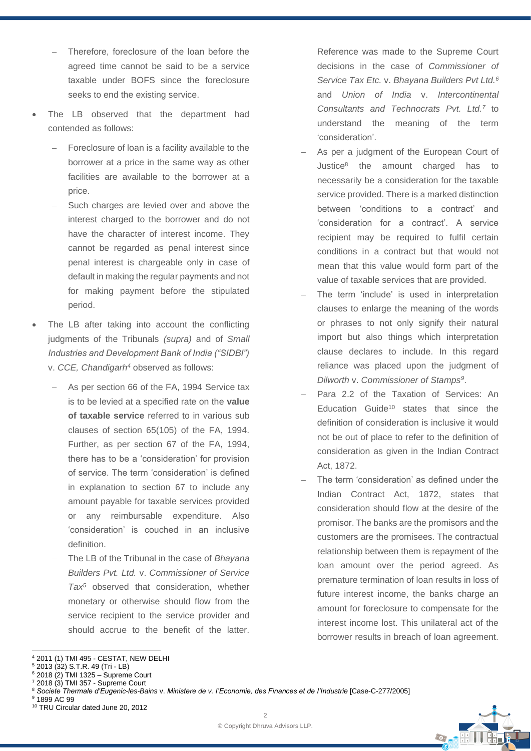- Therefore, foreclosure of the loan before the agreed time cannot be said to be a service taxable under BOFS since the foreclosure seeks to end the existing service.
- The LB observed that the department had contended as follows:
	- Foreclosure of loan is a facility available to the borrower at a price in the same way as other facilities are available to the borrower at a price.
	- Such charges are levied over and above the interest charged to the borrower and do not have the character of interest income. They cannot be regarded as penal interest since penal interest is chargeable only in case of default in making the regular payments and not for making payment before the stipulated period.
- The LB after taking into account the conflicting judgments of the Tribunals *(supra)* and of *Small Industries and Development Bank of India ("SIDBI")*  v. *CCE, Chandigarh<sup>4</sup>* observed as follows:
	- As per section 66 of the FA, 1994 Service tax is to be levied at a specified rate on the **value of taxable service** referred to in various sub clauses of section 65(105) of the FA, 1994. Further, as per section 67 of the FA, 1994, there has to be a 'consideration' for provision of service. The term 'consideration' is defined in explanation to section 67 to include any amount payable for taxable services provided or any reimbursable expenditure. Also 'consideration' is couched in an inclusive definition.
	- − The LB of the Tribunal in the case of *Bhayana Builders Pvt. Ltd.* v. *Commissioner of Service Tax<sup>5</sup>* observed that consideration, whether monetary or otherwise should flow from the service recipient to the service provider and should accrue to the benefit of the latter.

Reference was made to the Supreme Court decisions in the case of *Commissioner of Service Tax Etc.* v. *Bhayana Builders Pvt Ltd.<sup>6</sup>* and *Union of India* v. *Intercontinental Consultants and Technocrats Pvt. Ltd.<sup>7</sup>* to understand the meaning of the term 'consideration'.

- As per a judgment of the European Court of Justice<sup>8</sup> the amount charged has to necessarily be a consideration for the taxable service provided. There is a marked distinction between 'conditions to a contract' and 'consideration for a contract'. A service recipient may be required to fulfil certain conditions in a contract but that would not mean that this value would form part of the value of taxable services that are provided.
- The term 'include' is used in interpretation clauses to enlarge the meaning of the words or phrases to not only signify their natural import but also things which interpretation clause declares to include. In this regard reliance was placed upon the judgment of *Dilworth* v. *Commissioner of Stamps<sup>9</sup>* .
- − Para 2.2 of the Taxation of Services: An Education Guide<sup>10</sup> states that since the definition of consideration is inclusive it would not be out of place to refer to the definition of consideration as given in the Indian Contract Act, 1872.
- The term 'consideration' as defined under the Indian Contract Act, 1872, states that consideration should flow at the desire of the promisor. The banks are the promisors and the customers are the promisees. The contractual relationship between them is repayment of the loan amount over the period agreed. As premature termination of loan results in loss of future interest income, the banks charge an amount for foreclosure to compensate for the interest income lost. This unilateral act of the borrower results in breach of loan agreement.



<sup>4</sup> 2011 (1) TMI 495 - CESTAT, NEW DELHI

 $5$  2013 (32) S.T.R. 49 (Tri - LB)

<sup>6</sup> 2018 (2) TMI 1325 – Supreme Court

<sup>7</sup> 2018 (3) TMI 357 - Supreme Court

<sup>8</sup> *Societe Thermale d'Eugenic-les-Bains* v. *Ministere de v. I'Economie, des Finances et de I'Industrie* [Case-C-277/2005]

<sup>9</sup> 1899 AC 99

<sup>10</sup> TRU Circular dated June 20, 2012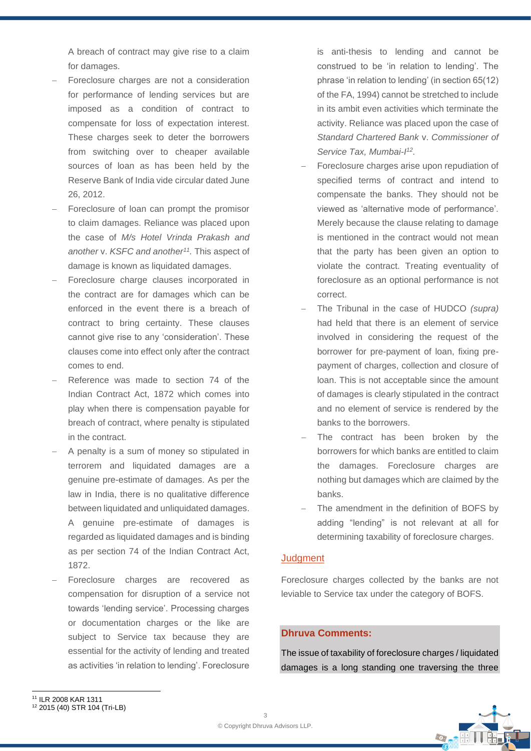A breach of contract may give rise to a claim for damages.

- Foreclosure charges are not a consideration for performance of lending services but are imposed as a condition of contract to compensate for loss of expectation interest. These charges seek to deter the borrowers from switching over to cheaper available sources of loan as has been held by the Reserve Bank of India vide circular dated June 26, 2012.
- Foreclosure of loan can prompt the promisor to claim damages. Reliance was placed upon the case of *M/s Hotel Vrinda Prakash and another* v. *KSFC and another<sup>11</sup> .* This aspect of damage is known as liquidated damages.
- Foreclosure charge clauses incorporated in the contract are for damages which can be enforced in the event there is a breach of contract to bring certainty. These clauses cannot give rise to any 'consideration'. These clauses come into effect only after the contract comes to end.
- Reference was made to section 74 of the Indian Contract Act, 1872 which comes into play when there is compensation payable for breach of contract, where penalty is stipulated in the contract.
- − A penalty is a sum of money so stipulated in terrorem and liquidated damages are a genuine pre-estimate of damages. As per the law in India, there is no qualitative difference between liquidated and unliquidated damages. A genuine pre-estimate of damages is regarded as liquidated damages and is binding as per section 74 of the Indian Contract Act, 1872.
- Foreclosure charges are recovered as compensation for disruption of a service not towards 'lending service'. Processing charges or documentation charges or the like are subject to Service tax because they are essential for the activity of lending and treated as activities 'in relation to lending'. Foreclosure

is anti-thesis to lending and cannot be construed to be 'in relation to lending'. The phrase 'in relation to lending' (in section 65(12) of the FA, 1994) cannot be stretched to include in its ambit even activities which terminate the activity. Reliance was placed upon the case of *Standard Chartered Bank* v. *Commissioner of Service Tax, Mumbai-I 12 .*

- Foreclosure charges arise upon repudiation of specified terms of contract and intend to compensate the banks. They should not be viewed as 'alternative mode of performance'. Merely because the clause relating to damage is mentioned in the contract would not mean that the party has been given an option to violate the contract. Treating eventuality of foreclosure as an optional performance is not correct.
- − The Tribunal in the case of HUDCO *(supra)* had held that there is an element of service involved in considering the request of the borrower for pre-payment of loan, fixing prepayment of charges, collection and closure of loan. This is not acceptable since the amount of damages is clearly stipulated in the contract and no element of service is rendered by the banks to the borrowers.
- The contract has been broken by the borrowers for which banks are entitled to claim the damages. Foreclosure charges are nothing but damages which are claimed by the banks.
- The amendment in the definition of BOFS by adding "lending" is not relevant at all for determining taxability of foreclosure charges.

#### **Judgment**

Foreclosure charges collected by the banks are not leviable to Service tax under the category of BOFS.

## **Dhruva Comments:**

The issue of taxability of foreclosure charges / liquidated damages is a long standing one traversing the three

 $\bigodot$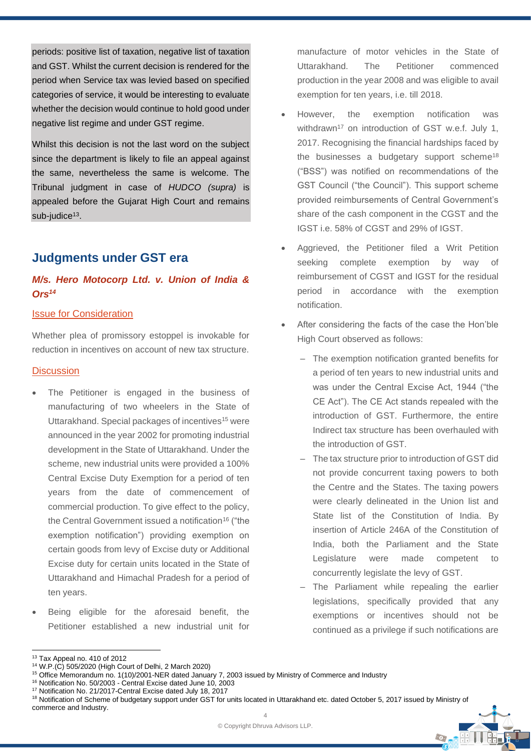periods: positive list of taxation, negative list of taxation and GST. Whilst the current decision is rendered for the period when Service tax was levied based on specified categories of service, it would be interesting to evaluate whether the decision would continue to hold good under negative list regime and under GST regime.

Whilst this decision is not the last word on the subject since the department is likely to file an appeal against the same, nevertheless the same is welcome. The Tribunal judgment in case of *HUDCO (supra)* is appealed before the Gujarat High Court and remains sub-judice<sup>13</sup>.

# **Judgments under GST era**

## *M/s. Hero Motocorp Ltd. v. Union of India & Ors<sup>14</sup>*

### Issue for Consideration

Whether plea of promissory estoppel is invokable for reduction in incentives on account of new tax structure.

#### **Discussion**

- The Petitioner is engaged in the business of manufacturing of two wheelers in the State of Uttarakhand. Special packages of incentives<sup>15</sup> were announced in the year 2002 for promoting industrial development in the State of Uttarakhand. Under the scheme, new industrial units were provided a 100% Central Excise Duty Exemption for a period of ten years from the date of commencement of commercial production. To give effect to the policy, the Central Government issued a notification<sup>16</sup> ("the exemption notification") providing exemption on certain goods from levy of Excise duty or Additional Excise duty for certain units located in the State of Uttarakhand and Himachal Pradesh for a period of ten years.
- Being eligible for the aforesaid benefit, the Petitioner established a new industrial unit for

manufacture of motor vehicles in the State of Uttarakhand. The Petitioner commenced production in the year 2008 and was eligible to avail exemption for ten years, i.e. till 2018.

- However, the exemption notification was withdrawn<sup>17</sup> on introduction of GST w.e.f. July 1, 2017. Recognising the financial hardships faced by the businesses a budgetary support scheme<sup>18</sup> ("BSS") was notified on recommendations of the GST Council ("the Council"). This support scheme provided reimbursements of Central Government's share of the cash component in the CGST and the IGST i.e. 58% of CGST and 29% of IGST.
- Aggrieved, the Petitioner filed a Writ Petition seeking complete exemption by way of reimbursement of CGST and IGST for the residual period in accordance with the exemption notification.
- After considering the facts of the case the Hon'ble High Court observed as follows:
	- ‒ The exemption notification granted benefits for a period of ten years to new industrial units and was under the Central Excise Act, 1944 ("the CE Act"). The CE Act stands repealed with the introduction of GST. Furthermore, the entire Indirect tax structure has been overhauled with the introduction of GST.
	- ‒ The tax structure prior to introduction of GST did not provide concurrent taxing powers to both the Centre and the States. The taxing powers were clearly delineated in the Union list and State list of the Constitution of India. By insertion of Article 246A of the Constitution of India, both the Parliament and the State Legislature were made competent to concurrently legislate the levy of GST.
	- The Parliament while repealing the earlier legislations, specifically provided that any exemptions or incentives should not be continued as a privilege if such notifications are

Co.

<sup>13</sup> Tax Appeal no. 410 of 2012

<sup>14</sup> W.P.(C) 505/2020 (High Court of Delhi, 2 March 2020)

<sup>15</sup> Office Memorandum no. 1(10)/2001-NER dated January 7, 2003 issued by Ministry of Commerce and Industry

<sup>16</sup> Notification No. 50/2003 - Central Excise dated June 10, 2003

<sup>17</sup> Notification No. 21/2017-Central Excise dated July 18, 2017

 $\Delta$ 18 Notification of Scheme of budgetary support under GST for units located in Uttarakhand etc. dated October 5, 2017 issued by Ministry of commerce and Industry.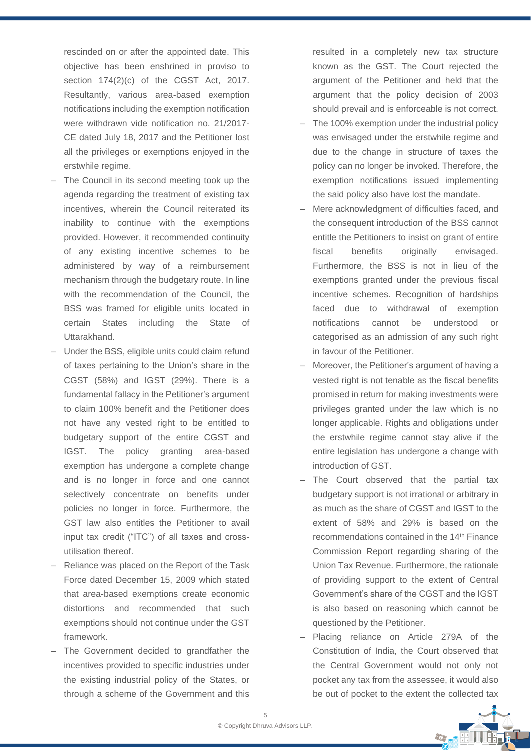rescinded on or after the appointed date. This objective has been enshrined in proviso to section  $174(2)(c)$  of the CGST Act, 2017. Resultantly, various area-based exemption notifications including the exemption notification were withdrawn vide notification no. 21/2017- CE dated July 18, 2017 and the Petitioner lost all the privileges or exemptions enjoyed in the erstwhile regime.

- The Council in its second meeting took up the agenda regarding the treatment of existing tax incentives, wherein the Council reiterated its inability to continue with the exemptions provided. However, it recommended continuity of any existing incentive schemes to be administered by way of a reimbursement mechanism through the budgetary route. In line with the recommendation of the Council, the BSS was framed for eligible units located in certain States including the State of Uttarakhand.
- ‒ Under the BSS, eligible units could claim refund of taxes pertaining to the Union's share in the CGST (58%) and IGST (29%). There is a fundamental fallacy in the Petitioner's argument to claim 100% benefit and the Petitioner does not have any vested right to be entitled to budgetary support of the entire CGST and IGST. The policy granting area-based exemption has undergone a complete change and is no longer in force and one cannot selectively concentrate on benefits under policies no longer in force. Furthermore, the GST law also entitles the Petitioner to avail input tax credit ("ITC") of all taxes and crossutilisation thereof.
- ‒ Reliance was placed on the Report of the Task Force dated December 15, 2009 which stated that area-based exemptions create economic distortions and recommended that such exemptions should not continue under the GST framework.
- The Government decided to grandfather the incentives provided to specific industries under the existing industrial policy of the States, or through a scheme of the Government and this

resulted in a completely new tax structure known as the GST. The Court rejected the argument of the Petitioner and held that the argument that the policy decision of 2003 should prevail and is enforceable is not correct.

- The 100% exemption under the industrial policy was envisaged under the erstwhile regime and due to the change in structure of taxes the policy can no longer be invoked. Therefore, the exemption notifications issued implementing the said policy also have lost the mandate.
- ‒ Mere acknowledgment of difficulties faced, and the consequent introduction of the BSS cannot entitle the Petitioners to insist on grant of entire fiscal benefits originally envisaged. Furthermore, the BSS is not in lieu of the exemptions granted under the previous fiscal incentive schemes. Recognition of hardships faced due to withdrawal of exemption notifications cannot be understood or categorised as an admission of any such right in favour of the Petitioner.
- ‒ Moreover, the Petitioner's argument of having a vested right is not tenable as the fiscal benefits promised in return for making investments were privileges granted under the law which is no longer applicable. Rights and obligations under the erstwhile regime cannot stay alive if the entire legislation has undergone a change with introduction of GST.
- ‒ The Court observed that the partial tax budgetary support is not irrational or arbitrary in as much as the share of CGST and IGST to the extent of 58% and 29% is based on the recommendations contained in the 14<sup>th</sup> Finance Commission Report regarding sharing of the Union Tax Revenue. Furthermore, the rationale of providing support to the extent of Central Government's share of the CGST and the IGST is also based on reasoning which cannot be questioned by the Petitioner.
- ‒ Placing reliance on Article 279A of the Constitution of India, the Court observed that the Central Government would not only not pocket any tax from the assessee, it would also be out of pocket to the extent the collected tax

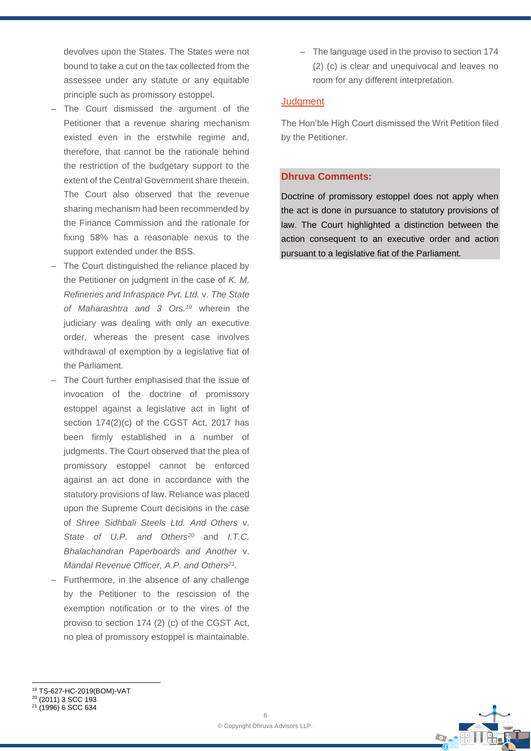devolves upon the States. The States were not bound to take a cut on the tax collected from the assessee under any statute or any equitable principle such as promissory estoppel.

- The Court dismissed the argument of the Petitioner that a revenue sharing mechanism existed even in the erstwhile regime and, therefore, that cannot be the rationale behind the restriction of the budgetary support to the extent of the Central Government share therein. The Court also observed that the revenue sharing mechanism had been recommended by the Finance Commission and the rationale for fixing 58% has a reasonable nexus to the support extended under the BSS.
- The Court distinguished the reliance placed by the Petitioner on judgment in the case of *K. M. Refineries and Infraspace Pvt. Ltd.* v. *The State of Maharashtra and 3 Ors.<sup>19</sup>* wherein the judiciary was dealing with only an executive order, whereas the present case involves withdrawal of exemption by a legislative fiat of the Parliament.
- The Court further emphasised that the issue of invocation of the doctrine of promissory estoppel against a legislative act in light of section 174(2)(c) of the CGST Act, 2017 has been firmly established in a number of judgments. The Court observed that the plea of promissory estoppel cannot be enforced against an act done in accordance with the statutory provisions of law. Reliance was placed upon the Supreme Court decisions in the case of *Shree Sidhbali Steels Ltd. And Others* v. *State of U.P. and Others<sup>20</sup>* and *I.T.C. Bhalachandran Paperboards and Another* v. *Mandal Revenue Officer, A.P. and Others<sup>21</sup> .*
- ‒ Furthermore, in the absence of any challenge by the Petitioner to the rescission of the exemption notification or to the vires of the proviso to section 174 (2) (c) of the CGST Act, no plea of promissory estoppel is maintainable.

‒ The language used in the proviso to section 174 (2) (c) is clear and unequivocal and leaves no room for any different interpretation.

#### **Judgment**

The Hon'ble High Court dismissed the Writ Petition filed by the Petitioner.

#### **Dhruva Comments:**

Doctrine of promissory estoppel does not apply when the act is done in pursuance to statutory provisions of law. The Court highlighted a distinction between the action consequent to an executive order and action pursuant to a legislative fiat of the Parliament.



<sup>19</sup> TS-627-HC-2019(BOM)-VAT

<sup>20</sup> (2011) 3 SCC 193

<sup>21</sup> (1996) 6 SCC 634